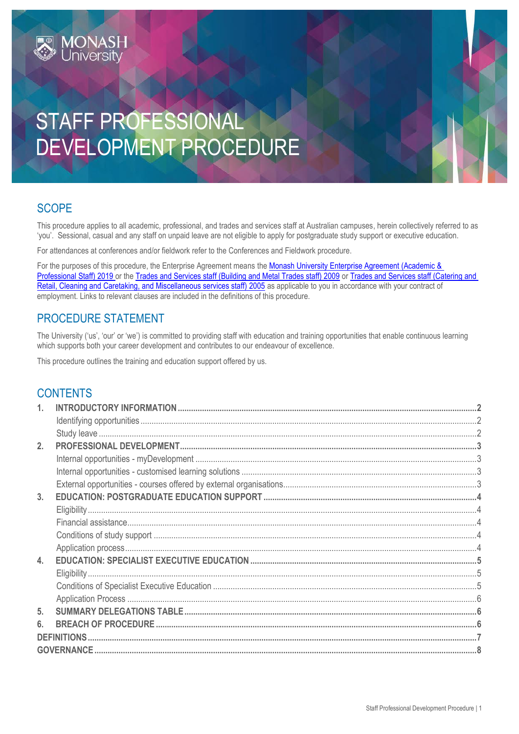# STAFF PROFESSIONAL DEVELOPMENT PROCEDURE

## **SCOPE**

This procedure applies to all academic, professional, and trades and services staff at Australian campuses, herein collectively referred to as 'you'. Sessional, casual and any staff on unpaid leave are not eligible to apply for postgraduate study support or executive education.

For attendances at conferences and/or fieldwork refer to the Conferences and Fieldwork procedure.

For the purposes of this procedure, the Enterprise Agreement means the Monash University Enterprise Agreement (Academic & [Professional Staff\) 2019](https://www.monash.edu/current-enterprise-agreements/academic-professional-2019) or the [Trades and Services staff \(Building and Metal Trades staff\) 2009](https://www.monash.edu/current-enterprise-agreements/trades-services-bmt-2009) or [Trades and Services staff \(Catering and](https://www.monash.edu/current-enterprise-agreements/trades-services-crccm-2005)  [Retail, Cleaning and Caretaking, and Miscellaneous services staff\) 2005](https://www.monash.edu/current-enterprise-agreements/trades-services-crccm-2005) as applicable to you in accordance with your contract of employment. Links to relevant clauses are included in the definitions of this procedure.

## PROCEDURE STATEMENT

**MONASH**<br>University

The University ('us', 'our' or 'we') is committed to providing staff with education and training opportunities that enable continuous learning which supports both your career development and contributes to our endeavour of excellence.

This procedure outlines the training and education support offered by us.

## **CONTENTS**

| 2. |                    |  |
|----|--------------------|--|
|    |                    |  |
|    |                    |  |
|    |                    |  |
| 3. |                    |  |
|    |                    |  |
|    |                    |  |
|    |                    |  |
|    |                    |  |
| 4. |                    |  |
|    |                    |  |
|    |                    |  |
|    |                    |  |
| 5. |                    |  |
| 6. |                    |  |
|    | <b>DEFINITIONS</b> |  |
|    | <b>GOVERNANCE </b> |  |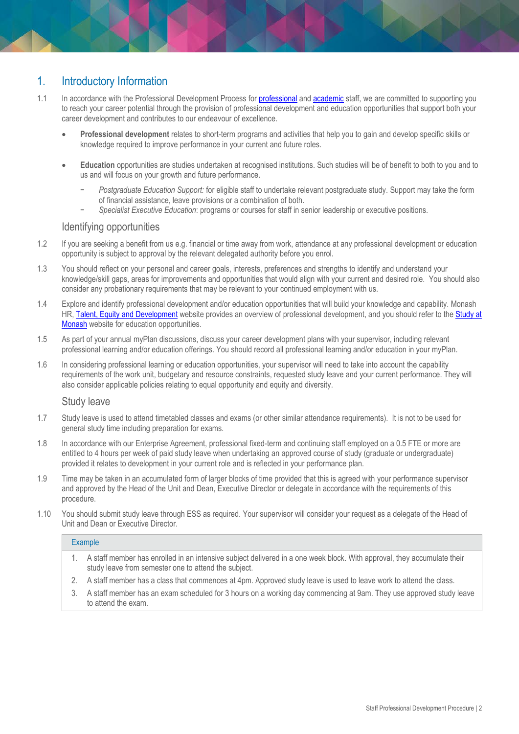## <span id="page-1-0"></span>1. Introductory Information

- 1.1 In accordance with the Professional Development Process for [professional](https://www.monash.edu/__data/assets/pdf_file/0011/799409/Performance-Development-Process-professional-staff.pdf) an[d academic](https://www.monash.edu/__data/assets/pdf_file/0009/799389/Performance-Development-Process-academic-staff.pdf) staff, we are committed to supporting you to reach your career potential through the provision of professional development and education opportunities that support both your career development and contributes to our endeavour of excellence.
	- **Professional development** relates to short-term programs and activities that help you to gain and develop specific skills or knowledge required to improve performance in your current and future roles.
	- **Education** opportunities are studies undertaken at recognised institutions. Such studies will be of benefit to both to you and to us and will focus on your growth and future performance.
		- − *Postgraduate Education Support:* for eligible staff to undertake relevant postgraduate study. Support may take the form of financial assistance, leave provisions or a combination of both.
		- − *Specialist Executive Education*: programs or courses for staff in senior leadership or executive positions.

#### Identifying opportunities

- <span id="page-1-1"></span>1.2 If you are seeking a benefit from us e.g. financial or time away from work, attendance at any professional development or education opportunity is subject to approval by the relevant delegated authority before you enrol.
- 1.3 You should reflect on your personal and career goals, interests, preferences and strengths to identify and understand your knowledge/skill gaps, areas for improvements and opportunities that would align with your current and desired role. You should also consider any probationary requirements that may be relevant to your continued employment with us.
- 1.4 Explore and identify professional development and/or education opportunities that will build your knowledge and capability. Monash HR, [Talent, Equity and Development](https://www.intranet.monash/talent-leadership-development) website provides an overview of professional development, and you should refer to the Study at [Monash](https://www.monash.edu/study) website for education opportunities.
- 1.5 As part of your annual myPlan discussions, discuss your career development plans with your supervisor, including relevant professional learning and/or education offerings. You should record all professional learning and/or education in your myPlan.
- 1.6 In considering professional learning or education opportunities, your supervisor will need to take into account the capability requirements of the work unit, budgetary and resource constraints, requested study leave and your current performance. They will also consider applicable policies relating to equal opportunity and equity and diversity.

#### Study leave

- <span id="page-1-2"></span>1.7 Study leave is used to attend timetabled classes and exams (or other similar attendance requirements). It is not to be used for general study time including preparation for exams.
- 1.8 In accordance with our Enterprise Agreement, professional fixed-term and continuing staff employed on a 0.5 FTE or more are entitled to 4 hours per week of paid study leave when undertaking an approved course of study (graduate or undergraduate) provided it relates to development in your current role and is reflected in your performance plan.
- 1.9 Time may be taken in an accumulated form of larger blocks of time provided that this is agreed with your performance supervisor and approved by the Head of the Unit and Dean, Executive Director or delegate in accordance with the requirements of this procedure.
- 1.10 You should submit study leave through ESS as required. Your supervisor will consider your request as a delegate of the Head of Unit and Dean or Executive Director.

#### Example

- 1. A staff member has enrolled in an intensive subject delivered in a one week block. With approval, they accumulate their study leave from semester one to attend the subject.
- 2. A staff member has a class that commences at 4pm. Approved study leave is used to leave work to attend the class.
- 3. A staff member has an exam scheduled for 3 hours on a working day commencing at 9am. They use approved study leave to attend the exam.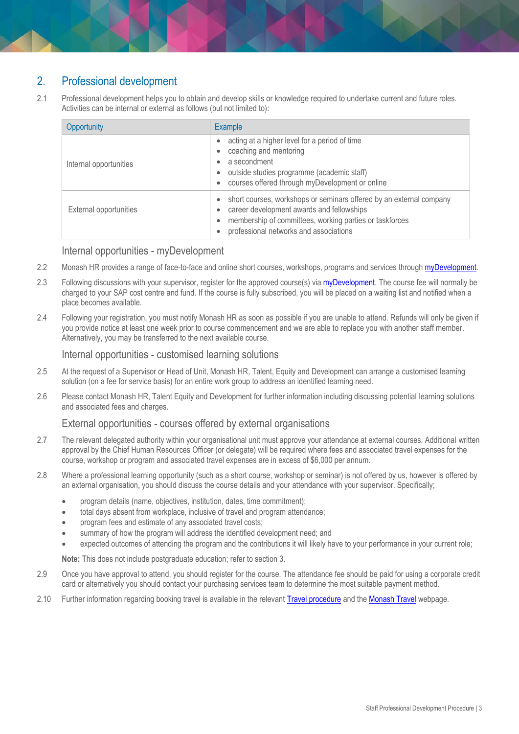## <span id="page-2-0"></span>2. Professional development

2.1 Professional development helps you to obtain and develop skills or knowledge required to undertake current and future roles. Activities can be internal or external as follows (but not limited to):

| Opportunity            | Example                                                                                                                                                                                                                                           |  |
|------------------------|---------------------------------------------------------------------------------------------------------------------------------------------------------------------------------------------------------------------------------------------------|--|
| Internal opportunities | acting at a higher level for a period of time<br>$\bullet$<br>coaching and mentoring<br>$\bullet$<br>a secondment<br>۰<br>outside studies programme (academic staff)<br>$\bullet$<br>courses offered through myDevelopment or online<br>$\bullet$ |  |
| External opportunities | short courses, workshops or seminars offered by an external company<br>$\bullet$<br>career development awards and fellowships<br>membership of committees, working parties or taskforces<br>$\bullet$<br>professional networks and associations   |  |

#### Internal opportunities - myDevelopment

- <span id="page-2-1"></span>2.2 Monash HR provides a range of face-to-face and online short courses, workshops, programs and services through [myDevelopment.](https://monash.csod.com/LMS/catalog/Welcome.aspx?tab_page_id=-67&tab_id=-1)
- 2.3 Following discussions with your supervisor, register for the approved course(s) via [myDevelopment.](https://monash.csod.com/LMS/catalog/Welcome.aspx?tab_page_id=-67&tab_id=-1) The course fee will normally be charged to your SAP cost centre and fund. If the course is fully subscribed, you will be placed on a waiting list and notified when a place becomes available.
- 2.4 Following your registration, you must notify Monash HR as soon as possible if you are unable to attend. Refunds will only be given if you provide notice at least one week prior to course commencement and we are able to replace you with another staff member. Alternatively, you may be transferred to the next available course.

#### Internal opportunities - customised learning solutions

- <span id="page-2-2"></span>2.5 At the request of a Supervisor or Head of Unit, Monash HR, Talent, Equity and Development can arrange a customised learning solution (on a fee for service basis) for an entire work group to address an identified learning need.
- 2.6 Please contact Monash HR, Talent Equity and Development for further information including discussing potential learning solutions and associated fees and charges.

#### External opportunities - courses offered by external organisations

- <span id="page-2-3"></span>2.7 The relevant delegated authority within your organisational unit must approve your attendance at external courses. Additional written approval by the Chief Human Resources Officer (or delegate) will be required where fees and associated travel expenses for the course, workshop or program and associated travel expenses are in excess of \$6,000 per annum.
- 2.8 Where a professional learning opportunity (such as a short course, workshop or seminar) is not offered by us, however is offered by an external organisation, you should discuss the course details and your attendance with your supervisor. Specifically;
	- program details (name, objectives, institution, dates, time commitment);
	- total days absent from workplace, inclusive of travel and program attendance;
	- program fees and estimate of any associated travel costs;
	- summary of how the program will address the identified development need; and
	- expected outcomes of attending the program and the contributions it will likely have to your performance in your current role;

**Note:** This does not include postgraduate education; refer to section 3.

- 2.9 Once you have approval to attend, you should register for the course. The attendance fee should be paid for using a corporate credit card or alternatively you should contact your purchasing services team to determine the most suitable payment method.
- 2.10 Further information regarding booking travel is available in the relevant [Travel procedure](https://www.monash.edu/policy-bank/workplace-policy/employment-conditions) and th[e Monash Travel](http://www.intranet.monash/finance/our-services/travel) webpage.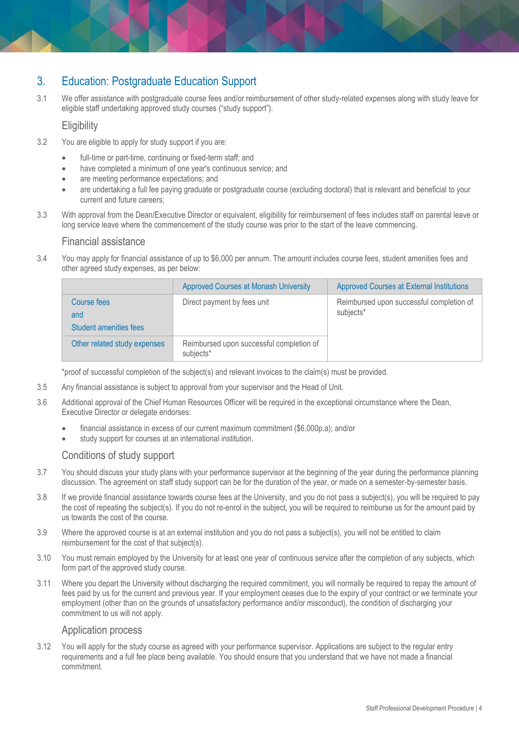## <span id="page-3-0"></span>3. Education: Postgraduate Education Support

3.1 We offer assistance with postgraduate course fees and/or reimbursement of other study-related expenses along with study leave for eligible staff undertaking approved study courses ("study support").

#### **Eligibility**

- <span id="page-3-1"></span>3.2 You are eligible to apply for study support if you are:
	- full-time or part-time, continuing or fixed-term staff; and
	- have completed a minimum of one year's continuous service; and
	- are meeting performance expectations; and
	- are undertaking a full fee paying graduate or postgraduate course (excluding doctoral) that is relevant and beneficial to your current and future careers;
- 3.3 With approval from the Dean/Executive Director or equivalent, eligibility for reimbursement of fees includes staff on parental leave or long service leave where the commencement of the study course was prior to the start of the leave commencing.

#### Financial assistance

<span id="page-3-2"></span>3.4 You may apply for financial assistance of up to \$6,000 per annum. The amount includes course fees, student amenities fees and other agreed study expenses, as per below:

|                                              | <b>Approved Courses at Monash University</b>          | <b>Approved Courses at External Institutions</b>      |
|----------------------------------------------|-------------------------------------------------------|-------------------------------------------------------|
| Course fees<br>and<br>Student amenities fees | Direct payment by fees unit                           | Reimbursed upon successful completion of<br>subjects* |
| Other related study expenses                 | Reimbursed upon successful completion of<br>subjects* |                                                       |

\*proof of successful completion of the subject(s) and relevant invoices to the claim(s) must be provided.

- 3.5 Any financial assistance is subject to approval from your supervisor and the Head of Unit.
- 3.6 Additional approval of the Chief Human Resources Officer will be required in the exceptional circumstance where the Dean, Executive Director or delegate endorses:
	- financial assistance in excess of our current maximum commitment (\$6,000p.a); and/or
	- study support for courses at an international institution.

#### Conditions of study support

- <span id="page-3-3"></span>3.7 You should discuss your study plans with your performance supervisor at the beginning of the year during the performance planning discussion. The agreement on staff study support can be for the duration of the year, or made on a semester-by-semester basis.
- 3.8 If we provide financial assistance towards course fees at the University, and you do not pass a subject(s), you will be required to pay the cost of repeating the subject(s). If you do not re-enrol in the subject, you will be required to reimburse us for the amount paid by us towards the cost of the course.
- 3.9 Where the approved course is at an external institution and you do not pass a subject(s), you will not be entitled to claim reimbursement for the cost of that subject(s).
- 3.10 You must remain employed by the University for at least one year of continuous service after the completion of any subjects, which form part of the approved study course.
- 3.11 Where you depart the University without discharging the required commitment, you will normally be required to repay the amount of fees paid by us for the current and previous year. If your employment ceases due to the expiry of your contract or we terminate your employment (other than on the grounds of unsatisfactory performance and/or misconduct), the condition of discharging your commitment to us will not apply.

#### Application process

<span id="page-3-4"></span>3.12 You will apply for the study course as agreed with your performance supervisor. Applications are subject to the regular entry requirements and a full fee place being available. You should ensure that you understand that we have not made a financial commitment.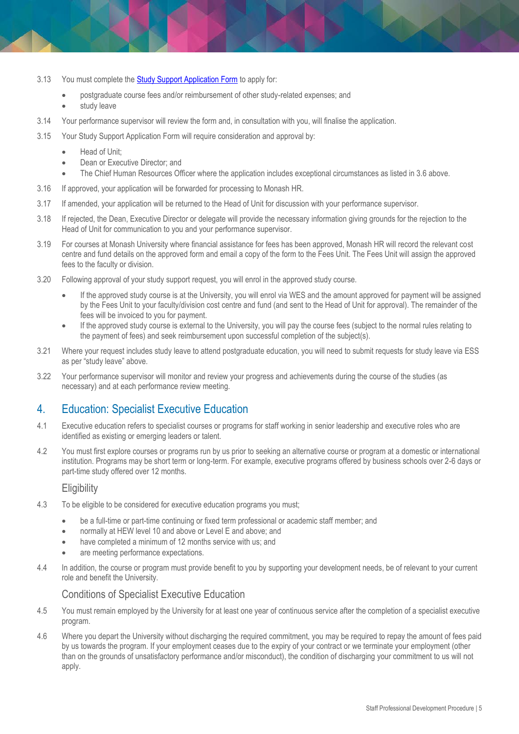- 3.13 You must complete the **Study Support Application Form** to apply for:
	- postgraduate course fees and/or reimbursement of other study-related expenses; and
	- study leave
- 3.14 Your performance supervisor will review the form and, in consultation with you, will finalise the application.
- 3.15 Your Study Support Application Form will require consideration and approval by:
	- Head of Unit;
	- Dean or Executive Director: and
	- The Chief Human Resources Officer where the application includes exceptional circumstances as listed in 3.6 above.
- 3.16 If approved, your application will be forwarded for processing to Monash HR.
- 3.17 If amended, your application will be returned to the Head of Unit for discussion with your performance supervisor.
- 3.18 If rejected, the Dean, Executive Director or delegate will provide the necessary information giving grounds for the rejection to the Head of Unit for communication to you and your performance supervisor.
- 3.19 For courses at Monash University where financial assistance for fees has been approved, Monash HR will record the relevant cost centre and fund details on the approved form and email a copy of the form to the Fees Unit. The Fees Unit will assign the approved fees to the faculty or division.
- 3.20 Following approval of your study support request, you will enrol in the approved study course.
	- If the approved study course is at the University, you will enrol via WES and the amount approved for payment will be assigned by the Fees Unit to your faculty/division cost centre and fund (and sent to the Head of Unit for approval). The remainder of the fees will be invoiced to you for payment.
	- If the approved study course is external to the University, you will pay the course fees (subject to the normal rules relating to the payment of fees) and seek reimbursement upon successful completion of the subject(s).
- 3.21 Where your request includes study leave to attend postgraduate education, you will need to submit requests for study leave via ESS as per "study leave" above.
- 3.22 Your performance supervisor will monitor and review your progress and achievements during the course of the studies (as necessary) and at each performance review meeting.

## <span id="page-4-0"></span>4. Education: Specialist Executive Education

- 4.1 Executive education refers to specialist courses or programs for staff working in senior leadership and executive roles who are identified as existing or emerging leaders or talent.
- 4.2 You must first explore courses or programs run by us prior to seeking an alternative course or program at a domestic or international institution. Programs may be short term or long-term. For example, executive programs offered by business schools over 2-6 days or part-time study offered over 12 months.

#### **Eligibility**

- <span id="page-4-1"></span>4.3 To be eligible to be considered for executive education programs you must;
	- be a full-time or part-time continuing or fixed term professional or academic staff member; and
	- normally at HEW level 10 and above or Level E and above; and
	- have completed a minimum of 12 months service with us; and
	- are meeting performance expectations.
- 4.4 In addition, the course or program must provide benefit to you by supporting your development needs, be of relevant to your current role and benefit the University.

#### Conditions of Specialist Executive Education

- <span id="page-4-2"></span>4.5 You must remain employed by the University for at least one year of continuous service after the completion of a specialist executive program.
- <span id="page-4-3"></span>4.6 Where you depart the University without discharging the required commitment, you may be required to repay the amount of fees paid by us towards the program. If your employment ceases due to the expiry of your contract or we terminate your employment (other than on the grounds of unsatisfactory performance and/or misconduct), the condition of discharging your commitment to us will not apply.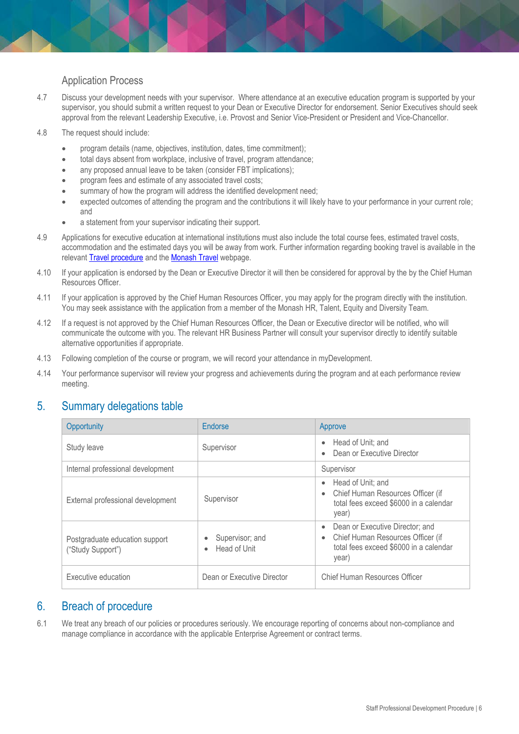## Application Process

- 4.7 Discuss your development needs with your supervisor. Where attendance at an executive education program is supported by your supervisor, you should submit a written request to your Dean or Executive Director for endorsement. Senior Executives should seek approval from the relevant Leadership Executive, i.e. Provost and Senior Vice-President or President and Vice-Chancellor.
- 4.8 The request should include:
	- program details (name, objectives, institution, dates, time commitment);
	- total days absent from workplace, inclusive of travel, program attendance;
	- any proposed annual leave to be taken (consider FBT implications);
	- program fees and estimate of any associated travel costs;
	- summary of how the program will address the identified development need;
	- expected outcomes of attending the program and the contributions it will likely have to your performance in your current role; and
	- a statement from your supervisor indicating their support.
- 4.9 Applications for executive education at international institutions must also include the total course fees, estimated travel costs, accommodation and the estimated days you will be away from work. Further information regarding booking travel is available in the relevan[t Travel procedure](https://www.monash.edu/policy-bank/workplace-policy/employment-conditions) and th[e Monash Travel](http://www.intranet.monash/finance/our-services/travel) webpage.
- 4.10 If your application is endorsed by the Dean or Executive Director it will then be considered for approval by the by the Chief Human Resources Officer.
- 4.11 If your application is approved by the Chief Human Resources Officer, you may apply for the program directly with the institution. You may seek assistance with the application from a member of the Monash HR, Talent, Equity and Diversity Team.
- 4.12 If a request is not approved by the Chief Human Resources Officer, the Dean or Executive director will be notified, who will communicate the outcome with you. The relevant HR Business Partner will consult your supervisor directly to identify suitable alternative opportunities if appropriate.
- 4.13 Following completion of the course or program, we will record your attendance in myDevelopment.
- 4.14 Your performance supervisor will review your progress and achievements during the program and at each performance review meeting.

## <span id="page-5-0"></span>5. Summary delegations table

| Opportunity                                         | Endorse                                           | Approve                                                                                                                                           |
|-----------------------------------------------------|---------------------------------------------------|---------------------------------------------------------------------------------------------------------------------------------------------------|
| Study leave                                         | Supervisor                                        | Head of Unit; and<br>$\bullet$<br>Dean or Executive Director                                                                                      |
| Internal professional development                   |                                                   | Supervisor                                                                                                                                        |
| External professional development                   | Supervisor                                        | Head of Unit; and<br>$\bullet$<br>• Chief Human Resources Officer (if<br>total fees exceed \$6000 in a calendar<br>year)                          |
| Postgraduate education support<br>("Study Support") | Supervisor; and<br>۰<br>Head of Unit<br>$\bullet$ | Dean or Executive Director; and<br>$\bullet$<br>Chief Human Resources Officer (if<br>$\bullet$<br>total fees exceed \$6000 in a calendar<br>year) |
| Executive education                                 | Dean or Executive Director                        | Chief Human Resources Officer                                                                                                                     |

## <span id="page-5-1"></span>6. Breach of procedure

6.1 We treat any breach of our policies or procedures seriously. We encourage reporting of concerns about non-compliance and manage compliance in accordance with the applicable Enterprise Agreement or contract terms.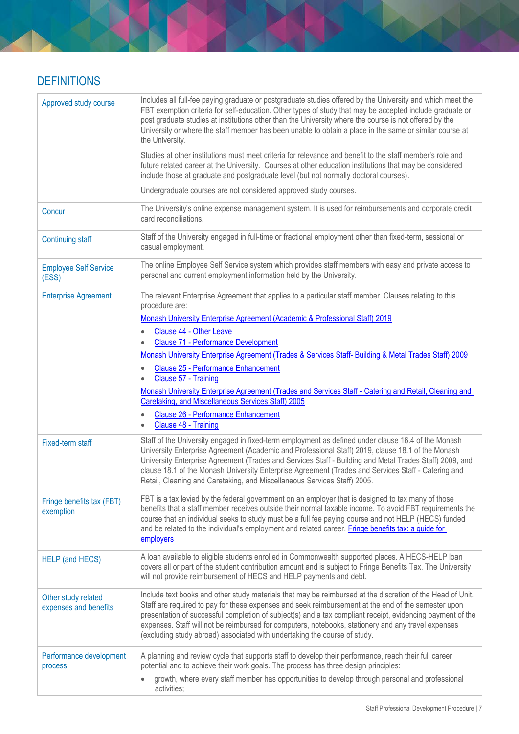## <span id="page-6-0"></span>**DEFINITIONS**

| Approved study course                        | Includes all full-fee paying graduate or postgraduate studies offered by the University and which meet the<br>FBT exemption criteria for self-education. Other types of study that may be accepted include graduate or<br>post graduate studies at institutions other than the University where the course is not offered by the<br>University or where the staff member has been unable to obtain a place in the same or similar course at<br>the University.<br>Studies at other institutions must meet criteria for relevance and benefit to the staff member's role and<br>future related career at the University. Courses at other education institutions that may be considered<br>include those at graduate and postgraduate level (but not normally doctoral courses). |
|----------------------------------------------|---------------------------------------------------------------------------------------------------------------------------------------------------------------------------------------------------------------------------------------------------------------------------------------------------------------------------------------------------------------------------------------------------------------------------------------------------------------------------------------------------------------------------------------------------------------------------------------------------------------------------------------------------------------------------------------------------------------------------------------------------------------------------------|
|                                              | Undergraduate courses are not considered approved study courses.                                                                                                                                                                                                                                                                                                                                                                                                                                                                                                                                                                                                                                                                                                                |
| Concur                                       | The University's online expense management system. It is used for reimbursements and corporate credit<br>card reconciliations.                                                                                                                                                                                                                                                                                                                                                                                                                                                                                                                                                                                                                                                  |
| <b>Continuing staff</b>                      | Staff of the University engaged in full-time or fractional employment other than fixed-term, sessional or<br>casual employment.                                                                                                                                                                                                                                                                                                                                                                                                                                                                                                                                                                                                                                                 |
| <b>Employee Self Service</b><br>(ESS)        | The online Employee Self Service system which provides staff members with easy and private access to<br>personal and current employment information held by the University.                                                                                                                                                                                                                                                                                                                                                                                                                                                                                                                                                                                                     |
| <b>Enterprise Agreement</b>                  | The relevant Enterprise Agreement that applies to a particular staff member. Clauses relating to this<br>procedure are:<br>Monash University Enterprise Agreement (Academic & Professional Staff) 2019                                                                                                                                                                                                                                                                                                                                                                                                                                                                                                                                                                          |
|                                              | Clause 44 - Other Leave<br><b>Clause 71 - Performance Development</b>                                                                                                                                                                                                                                                                                                                                                                                                                                                                                                                                                                                                                                                                                                           |
|                                              | Monash University Enterprise Agreement (Trades & Services Staff- Building & Metal Trades Staff) 2009                                                                                                                                                                                                                                                                                                                                                                                                                                                                                                                                                                                                                                                                            |
|                                              | <b>Clause 25 - Performance Enhancement</b><br>Clause 57 - Training                                                                                                                                                                                                                                                                                                                                                                                                                                                                                                                                                                                                                                                                                                              |
|                                              | Monash University Enterprise Agreement (Trades and Services Staff - Catering and Retail, Cleaning and                                                                                                                                                                                                                                                                                                                                                                                                                                                                                                                                                                                                                                                                           |
|                                              | Caretaking, and Miscellaneous Services Staff) 2005                                                                                                                                                                                                                                                                                                                                                                                                                                                                                                                                                                                                                                                                                                                              |
|                                              | <b>Clause 26 - Performance Enhancement</b><br>$\bullet$<br>Clause 48 - Training<br>$\bullet$                                                                                                                                                                                                                                                                                                                                                                                                                                                                                                                                                                                                                                                                                    |
| Fixed-term staff                             | Staff of the University engaged in fixed-term employment as defined under clause 16.4 of the Monash<br>University Enterprise Agreement (Academic and Professional Staff) 2019, clause 18.1 of the Monash<br>University Enterprise Agreement (Trades and Services Staff - Building and Metal Trades Staff) 2009, and<br>clause 18.1 of the Monash University Enterprise Agreement (Trades and Services Staff - Catering and<br>Retail, Cleaning and Caretaking, and Miscellaneous Services Staff) 2005.                                                                                                                                                                                                                                                                          |
| Fringe benefits tax (FBT)<br>exemption       | FBT is a tax levied by the federal government on an employer that is designed to tax many of those<br>benefits that a staff member receives outside their normal taxable income. To avoid FBT requirements the<br>course that an individual seeks to study must be a full fee paying course and not HELP (HECS) funded<br>and be related to the individual's employment and related career. Fringe benefits tax: a guide for<br>employers                                                                                                                                                                                                                                                                                                                                       |
| <b>HELP</b> (and HECS)                       | A loan available to eligible students enrolled in Commonwealth supported places. A HECS-HELP loan<br>covers all or part of the student contribution amount and is subject to Fringe Benefits Tax. The University<br>will not provide reimbursement of HECS and HELP payments and debt.                                                                                                                                                                                                                                                                                                                                                                                                                                                                                          |
| Other study related<br>expenses and benefits | Include text books and other study materials that may be reimbursed at the discretion of the Head of Unit.<br>Staff are required to pay for these expenses and seek reimbursement at the end of the semester upon<br>presentation of successful completion of subject(s) and a tax compliant receipt, evidencing payment of the<br>expenses. Staff will not be reimbursed for computers, notebooks, stationery and any travel expenses<br>(excluding study abroad) associated with undertaking the course of study.                                                                                                                                                                                                                                                             |
| Performance development<br>process           | A planning and review cycle that supports staff to develop their performance, reach their full career<br>potential and to achieve their work goals. The process has three design principles:                                                                                                                                                                                                                                                                                                                                                                                                                                                                                                                                                                                    |
|                                              | growth, where every staff member has opportunities to develop through personal and professional<br>activities;                                                                                                                                                                                                                                                                                                                                                                                                                                                                                                                                                                                                                                                                  |